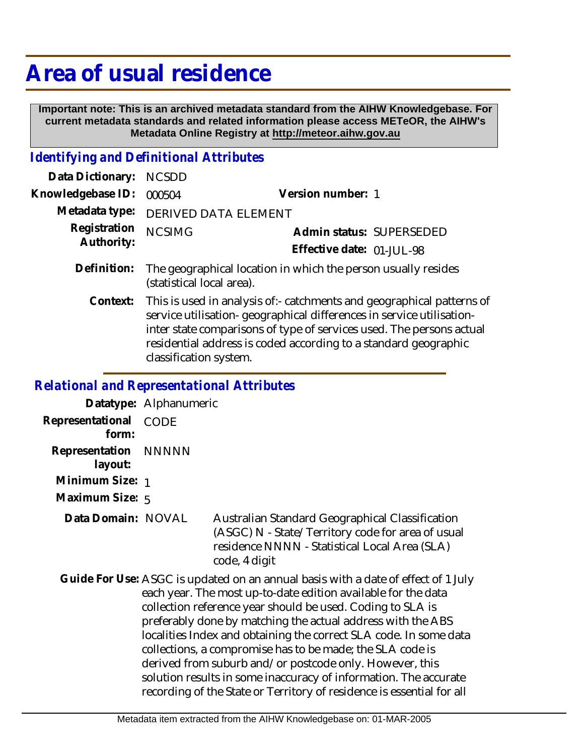## **Area of usual residence**

 **Important note: This is an archived metadata standard from the AIHW Knowledgebase. For current metadata standards and related information please access METeOR, the AIHW's Metadata Online Registry at http://meteor.aihw.gov.au**

## *Identifying and Definitional Attributes*

| Data Dictionary:           | <b>NCSDD</b>                                                                                                                                                                                                                                                                              |                                                       |
|----------------------------|-------------------------------------------------------------------------------------------------------------------------------------------------------------------------------------------------------------------------------------------------------------------------------------------|-------------------------------------------------------|
| Knowledgebase ID:          | 000504                                                                                                                                                                                                                                                                                    | Version number: 1                                     |
| Metadata type:             | <b>DERIVED DATA ELEMENT</b>                                                                                                                                                                                                                                                               |                                                       |
| Registration<br>Authority: | <b>NCSIMG</b>                                                                                                                                                                                                                                                                             | Admin status: SUPERSEDED<br>Effective date: 01-JUL-98 |
| Definition:                | The geographical location in which the person usually resides<br>(statistical local area).                                                                                                                                                                                                |                                                       |
| Context:                   | This is used in analysis of:- catchments and geographical patterns of<br>service utilisation- geographical differences in service utilisation-<br>inter state comparisons of type of services used. The persons actual<br>residential address is coded according to a standard geographic |                                                       |

*Relational and Representational Attributes*

classification system.

**Datatype:** Alphanumeric **Representational** CODE  **form: Representation** NNNNN  **layout: Minimum Size:** 1

- 
- **Maximum Size:** 5
	- **Data Domain:**

Australian Standard Geographical Classification (ASGC) N - State/Territory code for area of usual residence NNNN - Statistical Local Area (SLA) code, 4 digit

Guide For Use: ASGC is updated on an annual basis with a date of effect of 1 July each year. The most up-to-date edition available for the data collection reference year should be used. Coding to SLA is preferably done by matching the actual address with the ABS localities Index and obtaining the correct SLA code. In some data collections, a compromise has to be made; the SLA code is derived from suburb and/or postcode only. However, this solution results in some inaccuracy of information. The accurate recording of the State or Territory of residence is essential for all